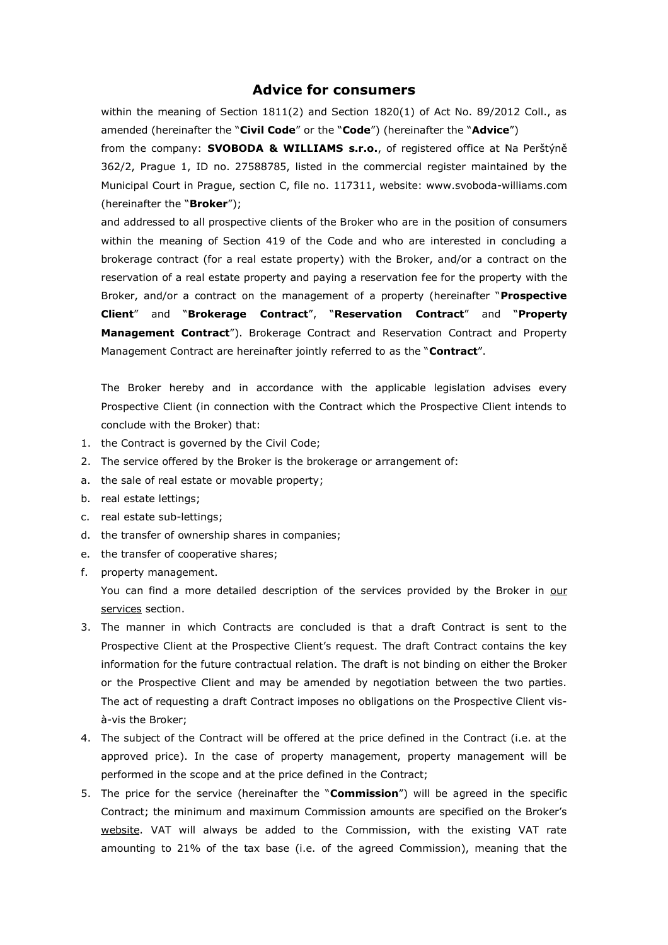## **Advice for consumers**

within the meaning of Section 1811(2) and Section 1820(1) of Act No. 89/2012 Coll., as amended (hereinafter the "**Civil Code**" or the "**Code**") (hereinafter the "**Advice**")

from the company: **SVOBODA & WILLIAMS s.r.o.**, of registered office at Na Perštýně 362/2, Prague 1, ID no. 27588785, listed in the commercial register maintained by the Municipal Court in Prague, section C, file no. 117311, website: www.svoboda-williams.com (hereinafter the "**Broker**");

and addressed to all prospective clients of the Broker who are in the position of consumers within the meaning of Section 419 of the Code and who are interested in concluding a brokerage contract (for a real estate property) with the Broker, and/or a contract on the reservation of a real estate property and paying a reservation fee for the property with the Broker, and/or a contract on the management of a property (hereinafter "**Prospective Client**" and "**Brokerage Contract**", "**Reservation Contract**" and "**Property Management Contract**"). Brokerage Contract and Reservation Contract and Property Management Contract are hereinafter jointly referred to as the "**Contract**".

The Broker hereby and in accordance with the applicable legislation advises every Prospective Client (in connection with the Contract which the Prospective Client intends to conclude with the Broker) that:

- 1. the Contract is governed by the Civil Code;
- 2. The service offered by the Broker is the brokerage or arrangement of:
- a. the sale of real estate or movable property;
- b. real estate lettings;
- c. real estate sub-lettings;
- d. the transfer of ownership shares in companies;
- e. the transfer of cooperative shares;
- f. property management.

You can find a more detailed description of the services provided by the Broker in our services section.

- 3. The manner in which Contracts are concluded is that a draft Contract is sent to the Prospective Client at the Prospective Client's request. The draft Contract contains the key information for the future contractual relation. The draft is not binding on either the Broker or the Prospective Client and may be amended by negotiation between the two parties. The act of requesting a draft Contract imposes no obligations on the Prospective Client visà-vis the Broker;
- 4. The subject of the Contract will be offered at the price defined in the Contract (i.e. at the approved price). In the case of property management, property management will be performed in the scope and at the price defined in the Contract;
- 5. The price for the service (hereinafter the "**Commission**") will be agreed in the specific Contract; the minimum and maximum Commission amounts are specified on the Broker's website. VAT will always be added to the Commission, with the existing VAT rate amounting to 21% of the tax base (i.e. of the agreed Commission), meaning that the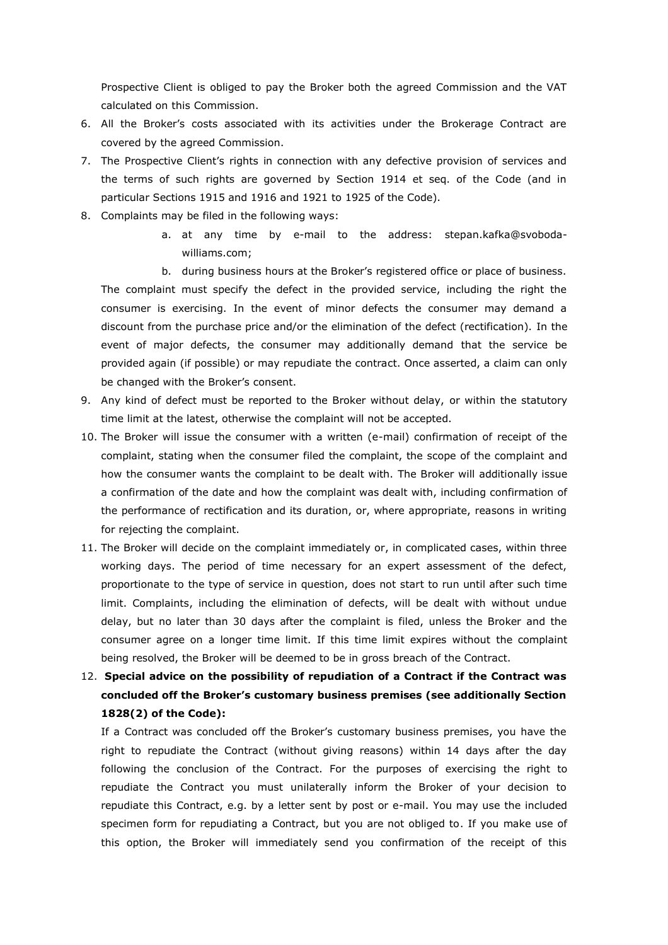Prospective Client is obliged to pay the Broker both the agreed Commission and the VAT calculated on this Commission.

- 6. All the Broker's costs associated with its activities under the Brokerage Contract are covered by the agreed Commission.
- 7. The Prospective Client's rights in connection with any defective provision of services and the terms of such rights are governed by Section 1914 et seq. of the Code (and in particular Sections 1915 and 1916 and 1921 to 1925 of the Code).
- 8. Complaints may be filed in the following ways:
	- a. at any time by e-mail to the address: stepan.kafka@svobodawilliams.com;

b. during business hours at the Broker's registered office or place of business. The complaint must specify the defect in the provided service, including the right the consumer is exercising. In the event of minor defects the consumer may demand a discount from the purchase price and/or the elimination of the defect (rectification). In the event of major defects, the consumer may additionally demand that the service be provided again (if possible) or may repudiate the contract. Once asserted, a claim can only be changed with the Broker's consent.

- 9. Any kind of defect must be reported to the Broker without delay, or within the statutory time limit at the latest, otherwise the complaint will not be accepted.
- 10. The Broker will issue the consumer with a written (e-mail) confirmation of receipt of the complaint, stating when the consumer filed the complaint, the scope of the complaint and how the consumer wants the complaint to be dealt with. The Broker will additionally issue a confirmation of the date and how the complaint was dealt with, including confirmation of the performance of rectification and its duration, or, where appropriate, reasons in writing for rejecting the complaint.
- 11. The Broker will decide on the complaint immediately or, in complicated cases, within three working days. The period of time necessary for an expert assessment of the defect, proportionate to the type of service in question, does not start to run until after such time limit. Complaints, including the elimination of defects, will be dealt with without undue delay, but no later than 30 days after the complaint is filed, unless the Broker and the consumer agree on a longer time limit. If this time limit expires without the complaint being resolved, the Broker will be deemed to be in gross breach of the Contract.
- 12. **Special advice on the possibility of repudiation of a Contract if the Contract was concluded off the Broker's customary business premises (see additionally Section 1828(2) of the Code):**

If a Contract was concluded off the Broker's customary business premises, you have the right to repudiate the Contract (without giving reasons) within 14 days after the day following the conclusion of the Contract. For the purposes of exercising the right to repudiate the Contract you must unilaterally inform the Broker of your decision to repudiate this Contract, e.g. by a letter sent by post or e-mail. You may use the included specimen form for repudiating a Contract, but you are not obliged to. If you make use of this option, the Broker will immediately send you confirmation of the receipt of this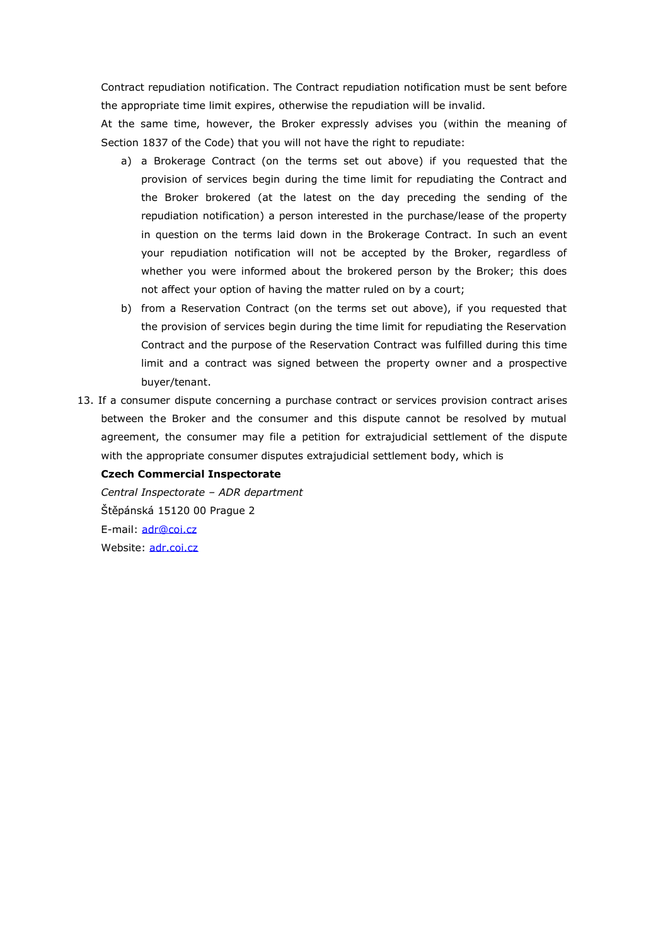Contract repudiation notification. The Contract repudiation notification must be sent before the appropriate time limit expires, otherwise the repudiation will be invalid.

At the same time, however, the Broker expressly advises you (within the meaning of Section 1837 of the Code) that you will not have the right to repudiate:

- a) a Brokerage Contract (on the terms set out above) if you requested that the provision of services begin during the time limit for repudiating the Contract and the Broker brokered (at the latest on the day preceding the sending of the repudiation notification) a person interested in the purchase/lease of the property in question on the terms laid down in the Brokerage Contract. In such an event your repudiation notification will not be accepted by the Broker, regardless of whether you were informed about the brokered person by the Broker; this does not affect your option of having the matter ruled on by a court;
- b) from a Reservation Contract (on the terms set out above), if you requested that the provision of services begin during the time limit for repudiating the Reservation Contract and the purpose of the Reservation Contract was fulfilled during this time limit and a contract was signed between the property owner and a prospective buyer/tenant.
- 13. If a consumer dispute concerning a purchase contract or services provision contract arises between the Broker and the consumer and this dispute cannot be resolved by mutual agreement, the consumer may file a petition for extrajudicial settlement of the dispute with the appropriate consumer disputes extrajudicial settlement body, which is

## **Czech Commercial Inspectorate**

*Central Inspectorate – ADR department* Štěpánská 15120 00 Prague 2 E-mail: [adr@coi.cz](https://www.coi.cz/pro-podnikatele/informace-pro-prodejce-zbozi-a-sluzeb/mimosoudni-reseni-spotrebitelskych-sporu-adr/) Website: [adr.coi.cz](https://adr.coi.cz/)